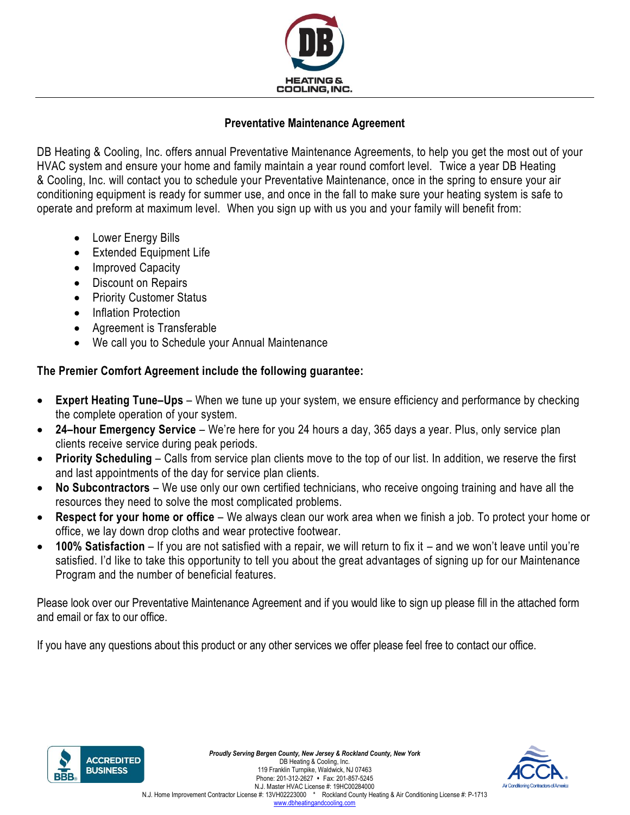

## **Preventative Maintenance Agreement**

DB Heating & Cooling, Inc. offers annual Preventative Maintenance Agreements, to help you get the most out of your HVAC system and ensure your home and family maintain a year round comfort level. Twice a year DB Heating & Cooling, Inc. will contact you to schedule your Preventative Maintenance, once in the spring to ensure your air conditioning equipment is ready for summer use, and once in the fall to make sure your heating system is safe to operate and preform at maximum level. When you sign up with us you and your family will benefit from:

- Lower Energy Bills
- Extended Equipment Life
- Improved Capacity
- Discount on Repairs
- Priority Customer Status
- Inflation Protection
- Agreement is Transferable
- We call you to Schedule your Annual Maintenance

## **The Premier Comfort Agreement include the following guarantee:**

- **Expert Heating Tune–Ups** When we tune up your system, we ensure efficiency and performance by checking the complete operation of your system.
- **24–hour Emergency Service** We're here for you 24 hours a day, 365 days a year. Plus, only service plan clients receive service during peak periods.
- **Priority Scheduling** Calls from service plan clients move to the top of our list. In addition, we reserve the first and last appointments of the day for service plan clients.
- **No Subcontractors** We use only our own certified technicians, who receive ongoing training and have all the resources they need to solve the most complicated problems.
- **Respect for your home or office** We always clean our work area when we finish a job. To protect your home or office, we lay down drop cloths and wear protective footwear.
- **100% Satisfaction** If you are not satisfied with a repair, we will return to fix it and we won't leave until you're satisfied. I'd like to take this opportunity to tell you about the great advantages of signing up for our Maintenance Program and the number of beneficial features.

Please look over our Preventative Maintenance Agreement and if you would like to sign up please fill in the attached form and email or fax to our office.

If you have any questions about this product or any other services we offer please feel free to contact our office.



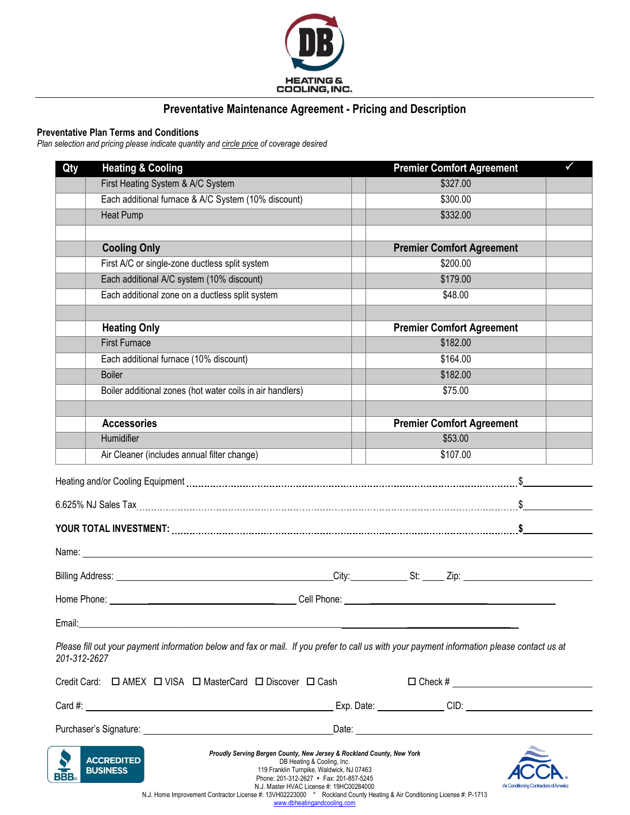

## **Preventative Maintenance Agreement - Pricing and Description**

### **Preventative Plan Terms and Conditions**

*Plan selection and pricing please indicate quantity and circle price of coverage desired*

| Qty          | <b>Heating &amp; Cooling</b>                                                                                                                                                                                                                                                    | <b>Premier Comfort Agreement</b>          |  |
|--------------|---------------------------------------------------------------------------------------------------------------------------------------------------------------------------------------------------------------------------------------------------------------------------------|-------------------------------------------|--|
|              | First Heating System & A/C System                                                                                                                                                                                                                                               | \$327.00                                  |  |
|              | Each additional furnace & A/C System (10% discount)                                                                                                                                                                                                                             | \$300.00                                  |  |
|              | <b>Heat Pump</b>                                                                                                                                                                                                                                                                | \$332.00                                  |  |
|              |                                                                                                                                                                                                                                                                                 |                                           |  |
|              | <b>Cooling Only</b>                                                                                                                                                                                                                                                             | <b>Premier Comfort Agreement</b>          |  |
|              | First A/C or single-zone ductless split system                                                                                                                                                                                                                                  | \$200.00                                  |  |
|              | Each additional A/C system (10% discount)                                                                                                                                                                                                                                       | \$179.00                                  |  |
|              | Each additional zone on a ductless split system                                                                                                                                                                                                                                 | \$48.00                                   |  |
|              |                                                                                                                                                                                                                                                                                 |                                           |  |
|              | <b>Heating Only</b>                                                                                                                                                                                                                                                             | <b>Premier Comfort Agreement</b>          |  |
|              | <b>First Furnace</b>                                                                                                                                                                                                                                                            | \$182.00                                  |  |
|              | Each additional furnace (10% discount)                                                                                                                                                                                                                                          | \$164.00                                  |  |
|              | <b>Boiler</b>                                                                                                                                                                                                                                                                   | \$182.00                                  |  |
|              | Boiler additional zones (hot water coils in air handlers)                                                                                                                                                                                                                       | \$75.00                                   |  |
|              |                                                                                                                                                                                                                                                                                 |                                           |  |
|              | <b>Accessories</b>                                                                                                                                                                                                                                                              | <b>Premier Comfort Agreement</b>          |  |
|              | Humidifier                                                                                                                                                                                                                                                                      | \$53.00                                   |  |
|              | Air Cleaner (includes annual filter change)                                                                                                                                                                                                                                     | \$107.00                                  |  |
|              |                                                                                                                                                                                                                                                                                 |                                           |  |
|              | 6.625% NJ Sales Tax <b>Martin Martin Martin Martin Martin Martin Martin Martin Martin Martin Martin Martin Martin S</b>                                                                                                                                                         |                                           |  |
|              | YOUR TOTAL INVESTMENT: www.communication.communication.com/                                                                                                                                                                                                                     |                                           |  |
|              | Name: <u>2000 - 2000 - 2000 - 2000 - 2000 - 2000 - 2000 - 2000 - 2000 - 2000 - 2000 - 2000 - 2000 - 2000 - 2000 - 2000 - 2000 - 2000 - 2000 - 2000 - 2000 - 2000 - 2000 - 2000 - 2000 - 2000 - 2000 - 2000 - 2000 - 2000 - 2000 </u>                                            |                                           |  |
|              |                                                                                                                                                                                                                                                                                 |                                           |  |
|              |                                                                                                                                                                                                                                                                                 |                                           |  |
| Email:       |                                                                                                                                                                                                                                                                                 |                                           |  |
| 201-312-2627 | Please fill out your payment information below and fax or mail. If you prefer to call us with your payment information please contact us at                                                                                                                                     |                                           |  |
|              | Credit Card: $\Box$ AMEX $\Box$ VISA $\Box$ MasterCard $\Box$ Discover $\Box$ Cash                                                                                                                                                                                              | $\Box$ Check # $\_\_\_\_\_\_\_\_\_\_\_\_$ |  |
|              |                                                                                                                                                                                                                                                                                 |                                           |  |
|              |                                                                                                                                                                                                                                                                                 |                                           |  |
|              | Proudly Serving Bergen County, New Jersey & Rockland County, New York<br><b>ACCREDITED</b><br>DB Heating & Cooling, Inc.<br><b>BUSINESS</b><br>119 Franklin Turnpike, Waldwick, NJ 07463<br>Phone: 201-312-2627 • Fax: 201-857-5245<br>N.J. Master HVAC License #: 19HC00284000 | Air Conditioning Contractors of America   |  |

N.J. Master HVAC License #: 19HC00284000 N.J. Home Improvement Contractor License #: 13VH02223000 \* Rockland County Heating & Air Conditioning License #: P-1713 [www.dbheatingandcooling.com](http://www.dbheatingandcooling.com/)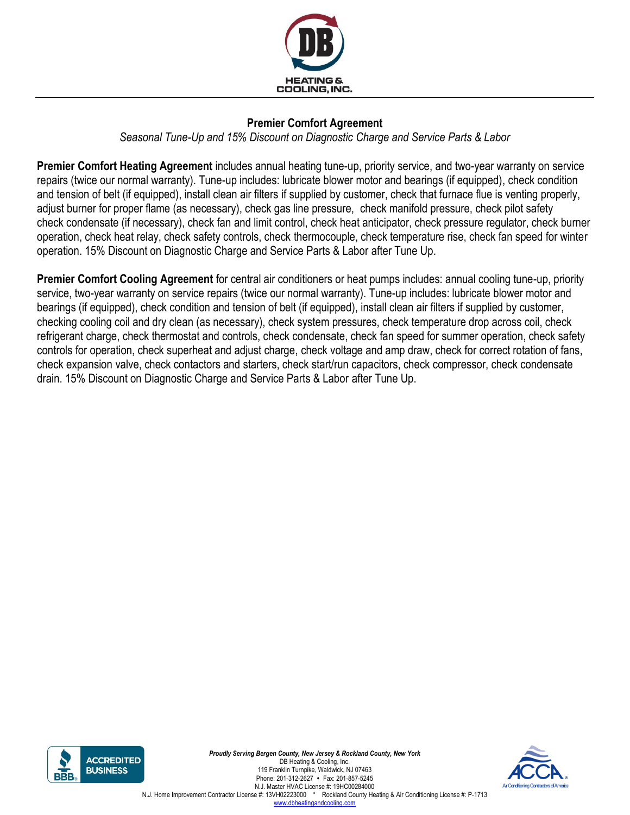

# **Premier Comfort Agreement**

*Seasonal Tune-Up and 15% Discount on Diagnostic Charge and Service Parts & Labor*

**Premier Comfort Heating Agreement** includes annual heating tune-up, priority service, and two-year warranty on service repairs (twice our normal warranty). Tune-up includes: lubricate blower motor and bearings (if equipped), check condition and tension of belt (if equipped), install clean air filters if supplied by customer, check that furnace flue is venting properly, adjust burner for proper flame (as necessary), check gas line pressure, check manifold pressure, check pilot safety check condensate (if necessary), check fan and limit control, check heat anticipator, check pressure regulator, check burner operation, check heat relay, check safety controls, check thermocouple, check temperature rise, check fan speed for winter operation. 15% Discount on Diagnostic Charge and Service Parts & Labor after Tune Up.

**Premier Comfort Cooling Agreement** for central air conditioners or heat pumps includes: annual cooling tune-up, priority service, two-year warranty on service repairs (twice our normal warranty). Tune-up includes: lubricate blower motor and bearings (if equipped), check condition and tension of belt (if equipped), install clean air filters if supplied by customer, checking cooling coil and dry clean (as necessary), check system pressures, check temperature drop across coil, check refrigerant charge, check thermostat and controls, check condensate, check fan speed for summer operation, check safety controls for operation, check superheat and adjust charge, check voltage and amp draw, check for correct rotation of fans, check expansion valve, check contactors and starters, check start/run capacitors, check compressor, check condensate drain. 15% Discount on Diagnostic Charge and Service Parts & Labor after Tune Up.